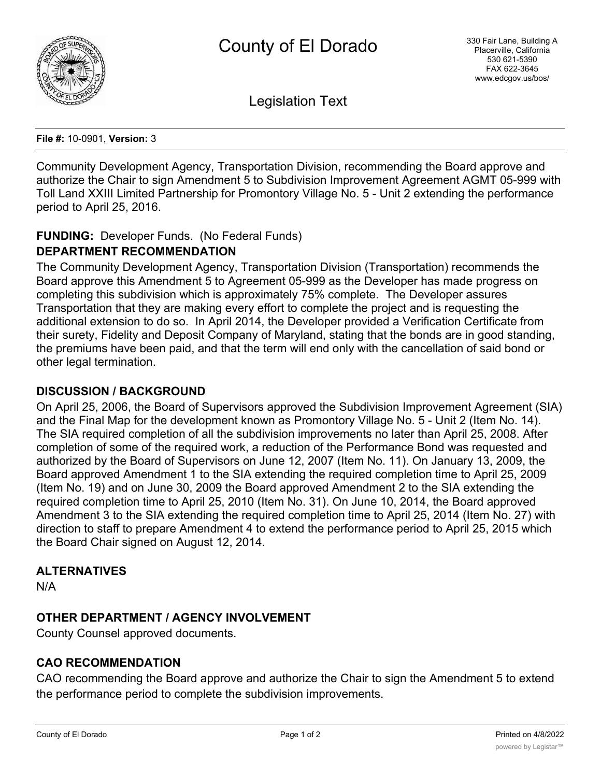

Legislation Text

**File #:** 10-0901, **Version:** 3

Community Development Agency, Transportation Division, recommending the Board approve and authorize the Chair to sign Amendment 5 to Subdivision Improvement Agreement AGMT 05-999 with Toll Land XXIII Limited Partnership for Promontory Village No. 5 - Unit 2 extending the performance period to April 25, 2016.

## **FUNDING:** Developer Funds. (No Federal Funds)

### **DEPARTMENT RECOMMENDATION**

The Community Development Agency, Transportation Division (Transportation) recommends the Board approve this Amendment 5 to Agreement 05-999 as the Developer has made progress on completing this subdivision which is approximately 75% complete. The Developer assures Transportation that they are making every effort to complete the project and is requesting the additional extension to do so. In April 2014, the Developer provided a Verification Certificate from their surety, Fidelity and Deposit Company of Maryland, stating that the bonds are in good standing, the premiums have been paid, and that the term will end only with the cancellation of said bond or other legal termination.

### **DISCUSSION / BACKGROUND**

On April 25, 2006, the Board of Supervisors approved the Subdivision Improvement Agreement (SIA) and the Final Map for the development known as Promontory Village No. 5 - Unit 2 (Item No. 14). The SIA required completion of all the subdivision improvements no later than April 25, 2008. After completion of some of the required work, a reduction of the Performance Bond was requested and authorized by the Board of Supervisors on June 12, 2007 (Item No. 11). On January 13, 2009, the Board approved Amendment 1 to the SIA extending the required completion time to April 25, 2009 (Item No. 19) and on June 30, 2009 the Board approved Amendment 2 to the SIA extending the required completion time to April 25, 2010 (Item No. 31). On June 10, 2014, the Board approved Amendment 3 to the SIA extending the required completion time to April 25, 2014 (Item No. 27) with direction to staff to prepare Amendment 4 to extend the performance period to April 25, 2015 which the Board Chair signed on August 12, 2014.

### **ALTERNATIVES**

N/A

# **OTHER DEPARTMENT / AGENCY INVOLVEMENT**

County Counsel approved documents.

### **CAO RECOMMENDATION**

CAO recommending the Board approve and authorize the Chair to sign the Amendment 5 to extend the performance period to complete the subdivision improvements.